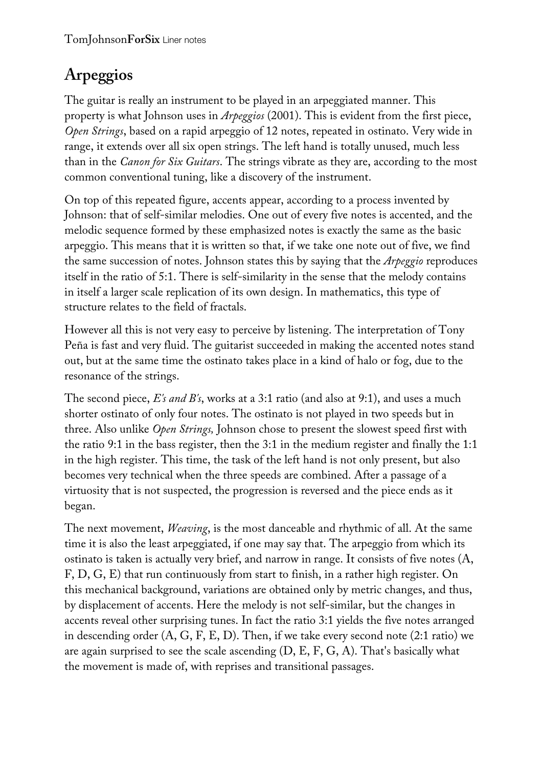## **Arpeggios**

The guitar is really an instrument to be played in an arpeggiated manner. This property is what Johnson uses in *Arpeggios* (2001). This is evident from the first piece, *Open Strings*, based on a rapid arpeggio of 12 notes, repeated in ostinato. Very wide in range, it extends over all six open strings. The left hand is totally unused, much less than in the *Canon for Six Guitars*. The strings vibrate as they are, according to the most common conventional tuning, like a discovery of the instrument.

On top of this repeated figure, accents appear, according to a process invented by Johnson: that of self-similar melodies. One out of every five notes is accented, and the melodic sequence formed by these emphasized notes is exactly the same as the basic arpeggio. This means that it is written so that, if we take one note out of five, we find the same succession of notes. Johnson states this by saying that the *Arpeggio* reproduces itself in the ratio of 5:1. There is self-similarity in the sense that the melody contains in itself a larger scale replication of its own design. In mathematics, this type of structure relates to the field of fractals.

However all this is not very easy to perceive by listening. The interpretation of Tony Peña is fast and very fluid. The guitarist succeeded in making the accented notes stand out, but at the same time the ostinato takes place in a kind of halo or fog, due to the resonance of the strings.

The second piece, *E's and B's*, works at a 3:1 ratio (and also at 9:1), and uses a much shorter ostinato of only four notes. The ostinato is not played in two speeds but in three. Also unlike *Open Strings,* Johnson chose to present the slowest speed first with the ratio 9:1 in the bass register, then the 3:1 in the medium register and finally the 1:1 in the high register. This time, the task of the left hand is not only present, but also becomes very technical when the three speeds are combined. After a passage of a virtuosity that is not suspected, the progression is reversed and the piece ends as it began.

The next movement, *Weaving*, is the most danceable and rhythmic of all. At the same time it is also the least arpeggiated, if one may say that. The arpeggio from which its ostinato is taken is actually very brief, and narrow in range. It consists of five notes (A, F, D, G, E) that run continuously from start to finish, in a rather high register. On this mechanical background, variations are obtained only by metric changes, and thus, by displacement of accents. Here the melody is not self-similar, but the changes in accents reveal other surprising tunes. In fact the ratio 3:1 yields the five notes arranged in descending order (A, G, F, E, D). Then, if we take every second note (2:1 ratio) we are again surprised to see the scale ascending  $(D, E, F, G, A)$ . That's basically what the movement is made of, with reprises and transitional passages.